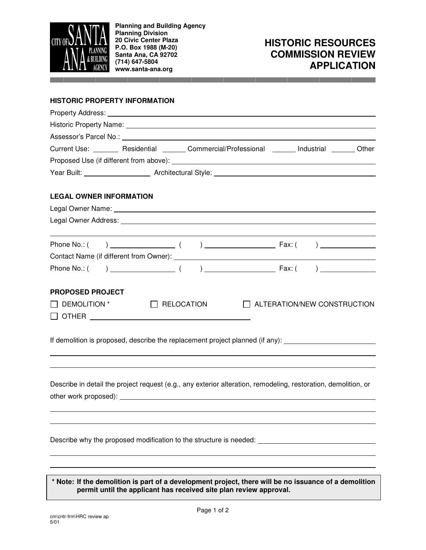

**Planning and Building Agency Planning Division 20 Civic Center Plaza P.O. Box 1988 (M-20) Santa Ana, CA 92702 (714) 647-5804 www.santa-ana.org**

## **HISTORIC RESOURCES COMMISSION REVIEW APPLICATION**

#### **HISTORIC PROPERTY INFORMATION**

| Current Use: _________ Residential ________ Commercial/Professional ________ Industrial _______ Other          |
|----------------------------------------------------------------------------------------------------------------|
|                                                                                                                |
|                                                                                                                |
| <b>LEGAL OWNER INFORMATION</b>                                                                                 |
|                                                                                                                |
|                                                                                                                |
|                                                                                                                |
|                                                                                                                |
|                                                                                                                |
| <b>PROPOSED PROJECT</b>                                                                                        |
| $\Box$ RELOCATION<br>DEMOLITION *<br>ALTERATION/NEW CONSTRUCTION                                               |
|                                                                                                                |
| If demolition is proposed, describe the replacement project planned (if any): ______________________           |
|                                                                                                                |
| Describe in detail the project request (e.g., any exterior alteration, remodeling, restoration, demolition, or |
|                                                                                                                |
|                                                                                                                |

Describe why the proposed modification to the structure is needed: \_\_\_\_\_\_\_\_\_\_\_\_\_

**\* Note: If the demolition is part of a development project, there will be no issuance of a demolition permit until the applicant has received site plan review approval.**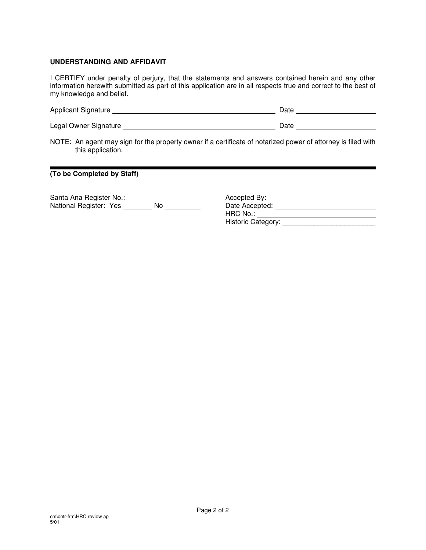#### **UNDERSTANDING AND AFFIDAVIT**

I CERTIFY under penalty of perjury, that the statements and answers contained herein and any other information herewith submitted as part of this application are in all respects true and correct to the best of my knowledge and belief.

| <b>Applicant Signature</b> | ⊃ate |  |
|----------------------------|------|--|
|                            |      |  |

Legal Owner Signature Date

NOTE: An agent may sign for the property owner if a certificate of notarized power of attorney is filed with this application.

**(To be Completed by Staff)**

Santa Ana Register No.: Accepted By: National Register: Yes \_\_\_\_\_\_\_\_ No \_\_\_\_\_\_\_\_\_\_ Date Accepted:

| Accepted By:       |  |
|--------------------|--|
| Date Accepted:     |  |
| HRC No.:           |  |
| Historic Category: |  |